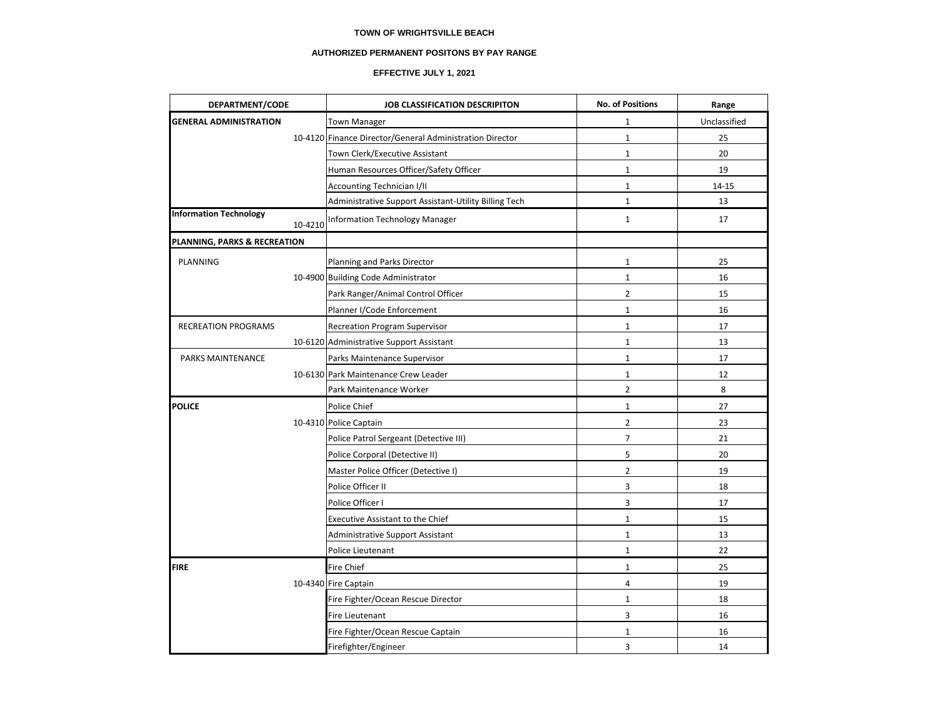### **TOWN OF WRIGHTSVILLE BEACH**

### **AUTHORIZED PERMANENT POSITONS BY PAY RANGE**

# **EFFECTIVE JULY 1, 2021**

| DEPARTMENT/CODE               |         | JOB CLASSIFICATION DESCRIPITON                           | <b>No. of Positions</b> | Range        |
|-------------------------------|---------|----------------------------------------------------------|-------------------------|--------------|
| <b>GENERAL ADMINISTRATION</b> |         | <b>Town Manager</b>                                      | $\mathbf{1}$            | Unclassified |
|                               |         | 10-4120 Finance Director/General Administration Director | $\mathbf 1$             | 25           |
|                               |         | Town Clerk/Executive Assistant                           | $\mathbf{1}$            | 20           |
|                               |         | Human Resources Officer/Safety Officer                   | $\mathbf{1}$            | 19           |
|                               |         | Accounting Technician I/II                               | $\mathbf{1}$            | 14-15        |
|                               |         | Administrative Support Assistant-Utility Billing Tech    | $\mathbf{1}$            | 13           |
| <b>Information Technology</b> | 10-4210 | <b>Information Technology Manager</b>                    | $\mathbf{1}$            | 17           |
| PLANNING, PARKS & RECREATION  |         |                                                          |                         |              |
| PLANNING                      |         | Planning and Parks Director                              | 1                       | 25           |
|                               |         | 10-4900 Building Code Administrator                      | $\mathbf{1}$            | 16           |
|                               |         | Park Ranger/Animal Control Officer                       | $\overline{2}$          | 15           |
|                               |         | Planner I/Code Enforcement                               | $\mathbf{1}$            | 16           |
| <b>RECREATION PROGRAMS</b>    |         | <b>Recreation Program Supervisor</b>                     | $\mathbf{1}$            | 17           |
|                               |         | 10-6120 Administrative Support Assistant                 | $\mathbf{1}$            | 13           |
| PARKS MAINTENANCE             |         | Parks Maintenance Supervisor                             | $\mathbf 1$             | 17           |
|                               |         | 10-6130 Park Maintenance Crew Leader                     | $\mathbf{1}$            | 12           |
|                               |         | Park Maintenance Worker                                  | $\overline{2}$          | 8            |
| <b>POLICE</b>                 |         | Police Chief                                             | $\mathbf{1}$            | 27           |
|                               |         | 10-4310 Police Captain                                   | $\overline{2}$          | 23           |
|                               |         | Police Patrol Sergeant (Detective III)                   | $\overline{7}$          | 21           |
|                               |         | Police Corporal (Detective II)                           | 5                       | 20           |
|                               |         | Master Police Officer (Detective I)                      | $\overline{2}$          | 19           |
|                               |         | Police Officer II                                        | 3                       | 18           |
|                               |         | Police Officer I                                         | 3                       | 17           |
|                               |         | <b>Executive Assistant to the Chief</b>                  | $\mathbf{1}$            | 15           |
|                               |         | <b>Administrative Support Assistant</b>                  | $\mathbf{1}$            | 13           |
|                               |         | Police Lieutenant                                        | $\mathbf{1}$            | 22           |
| <b>FIRE</b>                   |         | Fire Chief                                               | $\mathbf{1}$            | 25           |
|                               |         | 10-4340 Fire Captain                                     | 4                       | 19           |
|                               |         | Fire Fighter/Ocean Rescue Director                       | $\mathbf{1}$            | 18           |
|                               |         | Fire Lieutenant                                          | 3                       | 16           |
|                               |         | Fire Fighter/Ocean Rescue Captain                        | $\mathbf 1$             | 16           |
|                               |         | Firefighter/Engineer                                     | 3                       | 14           |